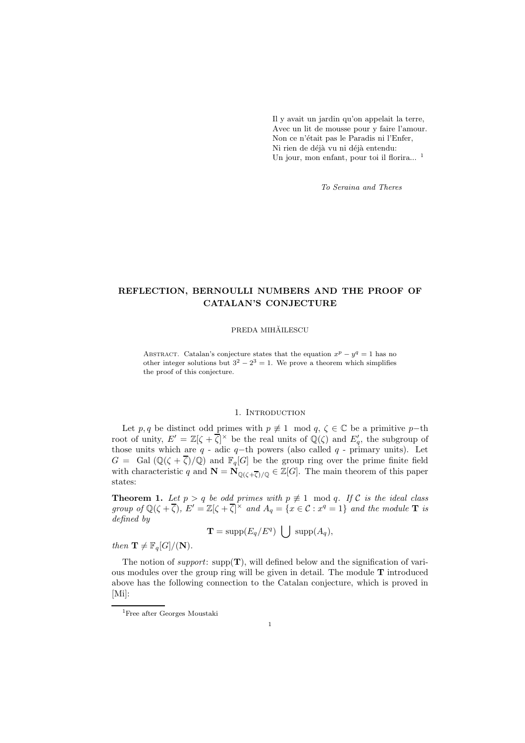Il y avait un jardin qu'on appelait la terre, Avec un lit de mousse pour y faire l'amour. Non ce n'était pas le Paradis ni l'Enfer, Ni rien de déjà vu ni déjà entendu: Un jour, mon enfant, pour toi il florira...<sup>1</sup>

To Seraina and Theres

# REFLECTION, BERNOULLI NUMBERS AND THE PROOF OF CATALAN'S CONJECTURE

### PREDA MIHĂILESCU

ABSTRACT. Catalan's conjecture states that the equation  $x^p - y^q = 1$  has no other integer solutions but  $3^2 - 2^3 = 1$ . We prove a theorem which simplifies the proof of this conjecture.

### 1. INTRODUCTION

Let  $p, q$  be distinct odd primes with  $p \neq 1 \mod q$ ,  $\zeta \in \mathbb{C}$  be a primitive  $p-\text{th}$ root of unity,  $E' = \mathbb{Z}[\zeta + \overline{\zeta}]^{\times}$  be the real units of  $\mathbb{Q}(\zeta)$  and  $E'_{q}$ , the subgroup of those units which are  $q$  - adic  $q$ −th powers (also called  $q$  - primary units). Let  $G = \text{Gal}(\mathbb{Q}(\zeta + \overline{\zeta})/\mathbb{Q})$  and  $\mathbb{F}_q[G]$  be the group ring over the prime finite field with characteristic q and  $\mathbf{N} = \mathbf{N}_{\mathbb{Q}(\zeta+\overline{\zeta})/\mathbb{Q}} \in \mathbb{Z}[G]$ . The main theorem of this paper states:

**Theorem 1.** Let  $p > q$  be odd primes with  $p \neq 1 \mod q$ . If C is the ideal class group of  $\mathbb{Q}(\zeta + \overline{\zeta})$ ,  $E' = \mathbb{Z}[\zeta + \overline{\zeta}]^{\times}$  and  $A_q = \{x \in \mathcal{C} : x^q = 1\}$  and the module **T** is defined by

$$
\mathbf{T} = \mathrm{supp}(E_q/E^q) \ \bigcup \ \mathrm{supp}(A_q),
$$

then  $\mathbf{T} \neq \mathbb{F}_q[G]/(\mathbf{N}).$ 

The notion of *support*:  $\text{supp}(\mathbf{T})$ , will defined below and the signification of various modules over the group ring will be given in detail. The module T introduced above has the following connection to the Catalan conjecture, which is proved in [Mi]:

<sup>1</sup>Free after Georges Moustaki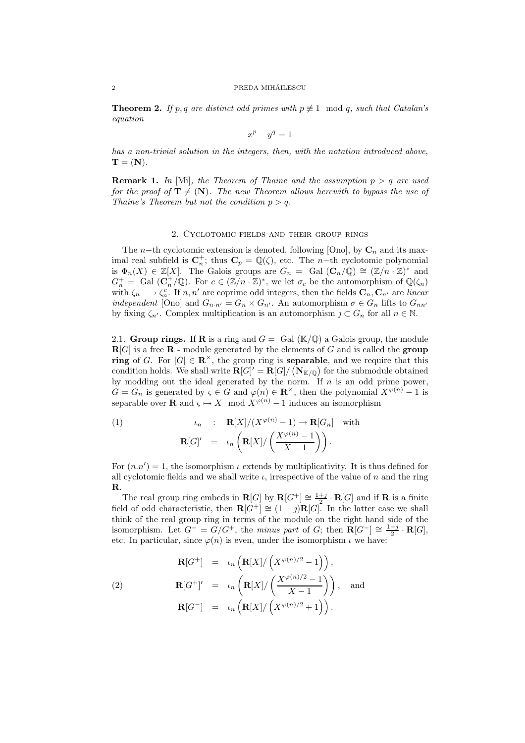#### ${\bf PREDA~MH\check{A}ILESCU}$

**Theorem 2.** If p, q are distinct odd primes with  $p \not\equiv 1 \mod q$ , such that Catalan's equation

$$
x^p - y^q = 1
$$

has a non-trivial solution in the integers, then, with the notation introduced above,  $\mathbf{T} = (\mathbf{N}).$ 

**Remark 1.** In [Mi], the Theorem of Thaine and the assumption  $p > q$  are used for the proof of  $T \neq (N)$ . The new Theorem allows herewith to bypass the use of Thaine's Theorem but not the condition  $p > q$ .

### 2. Cyclotomic fields and their group rings

The n–th cyclotomic extension is denoted, following [Ono], by  $\mathbf{C}_n$  and its maximal real subfield is  $\mathbb{C}_n^+$ ; thus  $\mathbb{C}_p = \mathbb{Q}(\zeta)$ , etc. The *n*-th cyclotomic polynomial is  $\Phi_n(X) \in \mathbb{Z}[X]$ . The Galois groups are  $G_n = \text{ Gal } (\mathbf{C}_n/\mathbb{Q}) \cong (\mathbb{Z}/n \cdot \mathbb{Z})^*$  and  $G_n^+ = \text{ Gal }(\mathbf{C}_n^+/\mathbb{Q})$ . For  $c \in (\mathbb{Z}/n \cdot \mathbb{Z})^*$ , we let  $\sigma_c$  be the automorphism of  $\mathbb{Q}(\zeta_n)$ with  $\zeta_n \longrightarrow \zeta_n^c$ . If  $n, n'$  are coprime odd integers, then the fields  $\mathbf{C}_n, \mathbf{C}_{n'}$  are linear independent [Ono] and  $G_{n\cdot n'} = G_n \times G_{n'}$ . An automorphism  $\sigma \in G_n$  lifts to  $G_{nn'}$ by fixing  $\zeta_{n'}$ . Complex multiplication is an automorphism  $j \subset G_n$  for all  $n \in \mathbb{N}$ .

2.1. Group rings. If R is a ring and  $G = \text{Gal } (\mathbb{K}/\mathbb{Q})$  a Galois group, the module  $R[G]$  is a free  $R$  - module generated by the elements of G and is called the group ring of G. For  $|G| \in \mathbb{R}^{\times}$ , the group ring is **separable**, and we require that this condition holds. We shall write  $\mathbf{R}[G]' = \mathbf{R}[G]/(\mathbf{N}_{\mathbb{K}/\mathbb{Q}})$  for the submodule obtained by modding out the ideal generated by the norm. If  $n$  is an odd prime power,  $G = G_n$  is generated by  $\varsigma \in G$  and  $\varphi(n) \in \mathbb{R}^\times$ , then the polynomial  $X^{\varphi(n)} - 1$  is separable over **R** and  $\varsigma \mapsto X \mod X^{\varphi(n)} - 1$  induces an isomorphism

(1) 
$$
\iota_n : \mathbf{R}[X]/(X^{\varphi(n)} - 1) \to \mathbf{R}[G_n] \text{ with}
$$

$$
\mathbf{R}[G]' = \iota_n \left( \mathbf{R}[X]/\left(\frac{X^{\varphi(n)} - 1}{X - 1}\right) \right).
$$

For  $(n.n') = 1$ , the isomorphism  $\iota$  extends by multiplicativity. It is thus defined for all cyclotomic fields and we shall write  $\iota$ , irrespective of the value of n and the ring R.

The real group ring embeds in  $\mathbf{R}[G]$  by  $\mathbf{R}[G^+] \cong \frac{1+j}{2} \cdot \mathbf{R}[G]$  and if  $\mathbf R$  is a finite field of odd characteristic, then  $\mathbf{R}[\hat{G}^+] \cong (1 + j)\mathbf{R}[G]$ . In the latter case we shall think of the real group ring in terms of the module on the right hand side of the isomorphism. Let  $G^- = G/G^+$ , the minus part of G; then  $\mathbf{R}[G^-] \cong \frac{1-j}{2} \cdot \mathbf{R}[G]$ , etc. In particular, since  $\varphi(n)$  is even, under the isomorphism  $\iota$  we have:

$$
\mathbf{R}[G^+] = \iota_n \left( \mathbf{R}[X] / \left( X^{\varphi(n)/2} - 1 \right) \right),
$$
  
(2)  

$$
\mathbf{R}[G^+]' = \iota_n \left( \mathbf{R}[X] / \left( \frac{X^{\varphi(n)/2} - 1}{X - 1} \right) \right),
$$
 and  

$$
\mathbf{R}[G^-] = \iota_n \left( \mathbf{R}[X] / \left( X^{\varphi(n)/2} + 1 \right) \right).
$$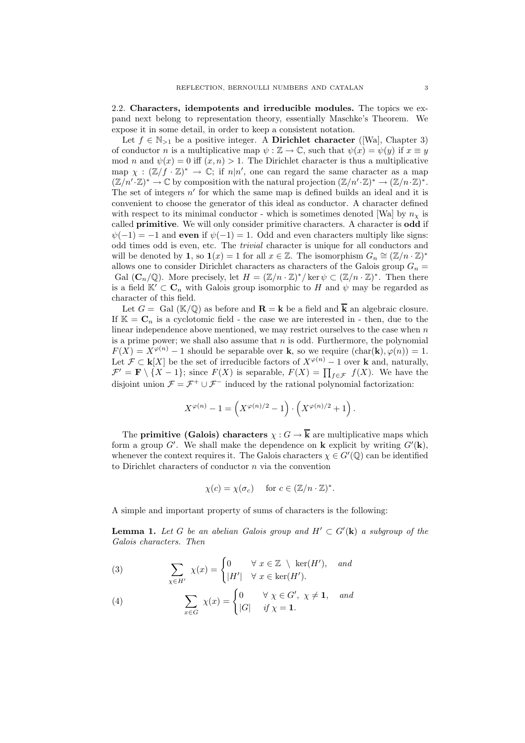2.2. Characters, idempotents and irreducible modules. The topics we expand next belong to representation theory, essentially Maschke's Theorem. We expose it in some detail, in order to keep a consistent notation.

Let  $f \in \mathbb{N}_{>1}$  be a positive integer. A Dirichlet character ([Wa], Chapter 3) of conductor n is a multiplicative map  $\psi : \mathbb{Z} \to \mathbb{C}$ , such that  $\psi(x) = \psi(y)$  if  $x \equiv y$ mod n and  $\psi(x) = 0$  iff  $(x, n) > 1$ . The Dirichlet character is thus a multiplicative map  $\chi : (\mathbb{Z}/f \cdot \mathbb{Z})^* \to \mathbb{C}$ ; if  $n|n'$ , one can regard the same character as a map  $(\mathbb{Z}/n'\cdot\mathbb{Z})^*\to\mathbb{C}$  by composition with the natural projection  $(\mathbb{Z}/n'\cdot\mathbb{Z})^*\to(\mathbb{Z}/n\cdot\mathbb{Z})^*$ . The set of integers  $n'$  for which the same map is defined builds an ideal and it is convenient to choose the generator of this ideal as conductor. A character defined with respect to its minimal conductor - which is sometimes denoted [Wa] by  $n<sub>x</sub>$  is called primitive. We will only consider primitive characters. A character is odd if  $\psi(-1) = -1$  and even if  $\psi(-1) = 1$ . Odd and even characters multiply like signs: odd times odd is even, etc. The trivial character is unique for all conductors and will be denoted by 1, so  $\mathbf{1}(x) = 1$  for all  $x \in \mathbb{Z}$ . The isomorphism  $G_n \cong (\mathbb{Z}/n \cdot \mathbb{Z})^*$ allows one to consider Dirichlet characters as characters of the Galois group  $G_n =$ Gal  $(\mathbf{C}_n/\mathbb{Q})$ . More precisely, let  $H = (\mathbb{Z}/n \cdot \mathbb{Z})^* / \ker \psi \subset (\mathbb{Z}/n \cdot \mathbb{Z})^*$ . Then there is a field  $\mathbb{K}' \subset \mathbf{C}_n$  with Galois group isomorphic to H and  $\psi$  may be regarded as character of this field.

Let  $G = \text{Gal}(\mathbb{K}/\mathbb{Q})$  as before and  $\mathbf{R} = \mathbf{k}$  be a field and  $\overline{\mathbf{k}}$  an algebraic closure. If  $\mathbb{K} = \mathbb{C}_n$  is a cyclotomic field - the case we are interested in - then, due to the linear independence above mentioned, we may restrict ourselves to the case when  $n$ is a prime power; we shall also assume that  $n$  is odd. Furthermore, the polynomial  $F(X) = X^{\varphi(n)} - 1$  should be separable over k, so we require  $(\text{char}(\mathbf{k}), \varphi(n)) = 1$ . Let  $\mathcal{F} \subset \mathbf{k}[X]$  be the set of irreducible factors of  $X^{\varphi(n)} - 1$  over **k** and, naturally,  $\mathcal{F}' = \mathbf{F} \setminus \{X-1\}$ ; since  $F(X)$  is separable,  $F(X) = \prod_{f \in \mathcal{F}} f(X)$ . We have the disjoint union  $\mathcal{F} = \mathcal{F}^+ \cup \mathcal{F}^-$  induced by the rational polynomial factorization:

$$
X^{\varphi(n)} - 1 = \left(X^{\varphi(n)/2} - 1\right) \cdot \left(X^{\varphi(n)/2} + 1\right).
$$

The **primitive** (Galois) characters  $\chi : G \to \overline{k}$  are multiplicative maps which form a group G'. We shall make the dependence on **k** explicit by writing  $G'(\mathbf{k})$ , whenever the context requires it. The Galois characters  $\chi \in G'(\mathbb{Q})$  can be identified to Dirichlet characters of conductor  $n$  via the convention

$$
\chi(c) = \chi(\sigma_c) \quad \text{ for } c \in (\mathbb{Z}/n \cdot \mathbb{Z})^*.
$$

A simple and important property of sums of characters is the following:

**Lemma 1.** Let G be an abelian Galois group and  $H' \subset G'(\mathbf{k})$  a subgroup of the Galois characters. Then

(3) 
$$
\sum_{\chi \in H'} \chi(x) = \begin{cases} 0 & \forall x \in \mathbb{Z} \setminus \ker(H'), \text{ and} \\ |H'| & \forall x \in \ker(H'). \end{cases}
$$

(4) 
$$
\sum_{x \in G} \chi(x) = \begin{cases} 0 & \forall \chi \in G', \chi \neq \mathbf{1}, \text{ and} \\ |G| & if \chi = \mathbf{1}. \end{cases}
$$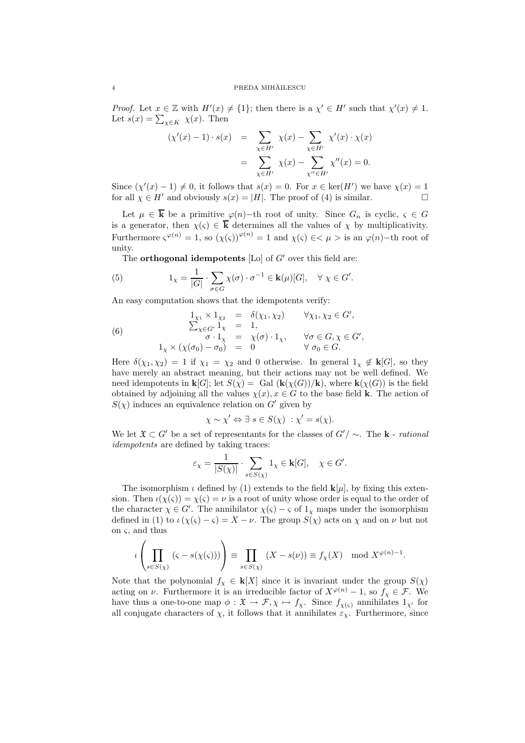*Proof.* Let  $x \in \mathbb{Z}$  with  $H'(x) \neq \{1\}$ ; then there is a  $\chi' \in H'$  such that  $\chi'(x) \neq 1$ . Let  $s(x) = \sum_{\chi \in K} \chi(x)$ . Then

$$
(\chi'(x) - 1) \cdot s(x) = \sum_{\chi \in H'} \chi(x) - \sum_{\chi \in H'} \chi'(x) \cdot \chi(x)
$$
  
= 
$$
\sum_{\chi \in H'} \chi(x) - \sum_{\chi'' \in H'} \chi''(x) = 0.
$$

Since  $(\chi'(x) - 1) \neq 0$ , it follows that  $s(x) = 0$ . For  $x \in \text{ker}(H')$  we have  $\chi(x) = 1$ for all  $\chi \in H'$  and obviously  $s(x) = |H|$ . The proof of (4) is similar.

Let  $\mu \in \overline{k}$  be a primitive  $\varphi(n)$ -th root of unity. Since  $G_n$  is cyclic,  $\varsigma \in G$ is a generator, then  $\chi(\zeta) \in \overline{k}$  determines all the values of  $\chi$  by multiplicativity. Furthermore  $\varsigma^{\varphi(n)} = 1$ , so  $(\chi(\varsigma))^{\varphi(n)} = 1$  and  $\chi(\varsigma) \in \langle \mu \rangle$  is an  $\varphi(n)$ -th root of unity.

The **orthogonal idempotents** [Lo] of  $G'$  over this field are:

(5) 
$$
1_{\chi} = \frac{1}{|G|} \cdot \sum_{\sigma \in G} \chi(\sigma) \cdot \sigma^{-1} \in \mathbf{k}(\mu)[G], \quad \forall \ \chi \in G'.
$$

An easy computation shows that the idempotents verify:

(6) 
$$
\begin{array}{rcl}\n1_{\chi_1} \times 1_{\chi_2} &=& \delta(\chi_1, \chi_2) & \forall \chi_1, \chi_2 \in G', \\
\sum_{\chi \in G'} 1_{\chi} &=& 1, \\
\sigma \cdot 1_{\chi} &=& \chi(\sigma) \cdot 1_{\chi}, & \forall \sigma \in G, \chi \in G', \\
1_{\chi} \times (\chi(\sigma_0) - \sigma_0) &=& 0 & \forall \sigma_0 \in G.\n\end{array}
$$

Here  $\delta(\chi_1, \chi_2) = 1$  if  $\chi_1 = \chi_2$  and 0 otherwise. In general  $1_\chi \notin k[G]$ , so they have merely an abstract meaning, but their actions may not be well defined. We need idempotents in  $\mathbf{k}[G]$ ; let  $S(\chi) =$  Gal  $(\mathbf{k}(\chi(G))/\mathbf{k})$ , where  $\mathbf{k}(\chi(G))$  is the field obtained by adjoining all the values  $\chi(x), x \in G$  to the base field **k**. The action of  $S(\chi)$  induces an equivalence relation on G' given by

$$
\chi \sim \chi' \Leftrightarrow \exists s \in S(\chi) : \chi' = s(\chi).
$$

We let  $\mathfrak{X} \subset G'$  be a set of representants for the classes of  $G'/\sim$ . The **k** - *rational* idempotents are defined by taking traces:

$$
\varepsilon_{\chi} = \frac{1}{|S(\chi)|} \cdot \sum_{s \in S(\chi)} 1_{\chi} \in \mathbf{k}[G], \quad \chi \in G'.
$$

The isomorphism  $\iota$  defined by (1) extends to the field  ${\bf k}[\mu]$ , by fixing this extension. Then  $\iota(\chi(\varsigma)) = \chi(\varsigma) = \nu$  is a root of unity whose order is equal to the order of the character  $\chi \in G'$ . The annihilator  $\chi(\varsigma) - \varsigma$  of  $1_{\chi}$  maps under the isomorphism defined in (1) to  $\iota(\chi(\varsigma) - \varsigma) = X - \nu$ . The group  $S(\chi)$  acts on  $\chi$  and on  $\nu$  but not on  $\varsigma$ , and thus

$$
\iota\left(\prod_{s\in S(\chi)}(s-s(\chi(s)))\right)\equiv \prod_{s\in S(\chi)}(X-s(\nu))\equiv f_{\chi}(X) \mod X^{\varphi(n)-1}.
$$

Note that the polynomial  $f_{\chi} \in \mathbf{k}[X]$  since it is invariant under the group  $S(\chi)$ acting on  $\nu$ . Furthermore it is an irreducible factor of  $X^{\varphi(n)} - 1$ , so  $f_{\chi} \in \mathcal{F}$ . We have thus a one-to-one map  $\phi : \mathfrak{X} \to \mathcal{F}, \chi \mapsto f_{\chi}$ . Since  $f_{\chi(\varsigma)}$  annihilates  $1_{\chi'}$  for all conjugate characters of  $\chi$ , it follows that it annihilates  $\varepsilon_{\chi}$ . Furthermore, since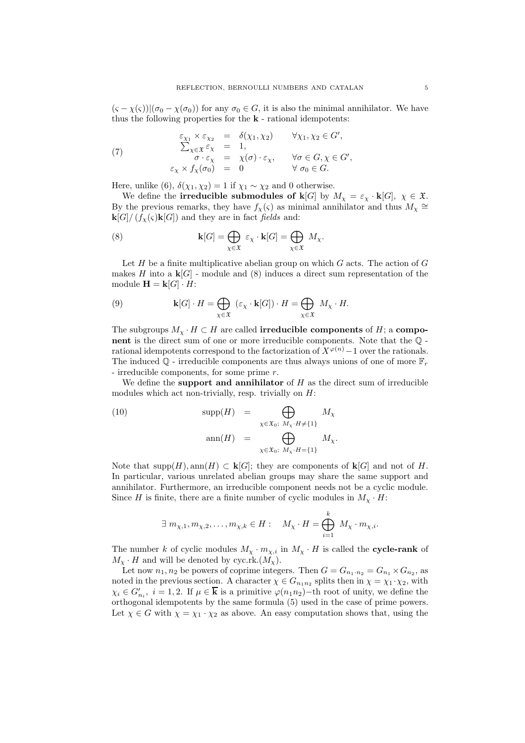$(\varsigma - \chi(\varsigma))|(\sigma_0 - \chi(\sigma_0))$  for any  $\sigma_0 \in G$ , it is also the minimal annihilator. We have thus the following properties for the  $k$ -rational idempotents:

(7) 
$$
\begin{array}{rcl}\n\varepsilon_{\chi_1} \times \varepsilon_{\chi_2} &=& \delta(\chi_1, \chi_2) & \forall \chi_1, \chi_2 \in G', \\
\sum_{\chi \in \mathfrak{X}} \varepsilon_{\chi} &=& 1, \\
\sigma \cdot \varepsilon_{\chi} &=& \chi(\sigma) \cdot \varepsilon_{\chi}, \qquad \forall \sigma \in G, \chi \in G', \\
\varepsilon_{\chi} \times f_{\chi}(\sigma_0) &=& 0 & \forall \sigma_0 \in G.\n\end{array}
$$

Here, unlike (6),  $\delta(\chi_1, \chi_2) = 1$  if  $\chi_1 \sim \chi_2$  and 0 otherwise.

We define the **irreducible submodules of k**[G] by  $M_{\chi} = \varepsilon_{\chi} \cdot k[G], \chi \in \mathfrak{X}$ . By the previous remarks, they have  $f_{\chi}(\varsigma)$  as minimal annihilator and thus  $M_{\chi} \cong$  $\mathbf{k}[G]/(f_{\chi}(\varsigma)\mathbf{k}[G])$  and they are in fact fields and:

(8) 
$$
\mathbf{k}[G] = \bigoplus_{\chi \in \mathfrak{X}} \varepsilon_{\chi} \cdot \mathbf{k}[G] = \bigoplus_{\chi \in \mathfrak{X}} M_{\chi}.
$$

Let  $H$  be a finite multiplicative abelian group on which  $G$  acts. The action of  $G$ makes H into a  $\mathbf{k}[G]$  - module and (8) induces a direct sum representation of the module  $\mathbf{H} = \mathbf{k}[G] \cdot H$ :

(9) 
$$
\mathbf{k}[G] \cdot H = \bigoplus_{\chi \in \mathfrak{X}} (\varepsilon_{\chi} \cdot \mathbf{k}[G]) \cdot H = \bigoplus_{\chi \in \mathfrak{X}} M_{\chi} \cdot H.
$$

The subgroups  $M_{\chi} \cdot H \subset H$  are called **irreducible components** of H; a **compo**nent is the direct sum of one or more irreducible components. Note that the Q rational idempotents correspond to the factorization of  $X^{\varphi(n)}-1$  over the rationals. The induced  $\mathbb{Q}$  - irreducible components are thus always unions of one of more  $\mathbb{F}_r$ - irreducible components, for some prime r.

We define the **support and annihilator** of  $H$  as the direct sum of irreducible modules which act non-trivially, resp. trivially on  $H$ :

(10) 
$$
\text{supp}(H) = \bigoplus_{\chi \in \mathfrak{X}_0; M_\chi \cdot H \neq \{1\}} M_\chi
$$

$$
\text{ann}(H) = \bigoplus_{\chi \in \mathfrak{X}_0; M_\chi \cdot H = \{1\}} M_\chi.
$$

Note that supp $(H)$ , ann $(H) \subset \mathbf{k}[G]$ ; they are components of  $\mathbf{k}[G]$  and not of H. In particular, various unrelated abelian groups may share the same support and annihilator. Furthermore, an irreducible component needs not be a cyclic module. Since H is finite, there are a finite number of cyclic modules in  $M_\chi \cdot H$ :

$$
\exists \ m_{\chi,1}, m_{\chi,2}, \ldots, m_{\chi,k} \in H: \quad M_{\chi} \cdot H = \bigoplus_{i=1}^k M_{\chi} \cdot m_{\chi,i}.
$$

The number k of cyclic modules  $M_{\chi} \cdot m_{\chi,i}$  in  $M_{\chi} \cdot H$  is called the **cycle-rank** of  $M_{\chi} \cdot H$  and will be denoted by cyc.rk. $(M_{\chi})$ .

Let now  $n_1, n_2$  be powers of coprime integers. Then  $G = G_{n_1 \cdot n_2} = G_{n_1} \times G_{n_2}$ , as noted in the previous section. A character  $\chi \in G_{n_1 n_2}$  splits then in  $\chi = \chi_1 \cdot \chi_2$ , with  $\chi_i \in G'_{n_i}, i = 1, 2$ . If  $\mu \in \overline{\mathbf{k}}$  is a primitive  $\varphi(n_1 n_2)$  – th root of unity, we define the orthogonal idempotents by the same formula (5) used in the case of prime powers. Let  $\chi \in G$  with  $\chi = \chi_1 \cdot \chi_2$  as above. An easy computation shows that, using the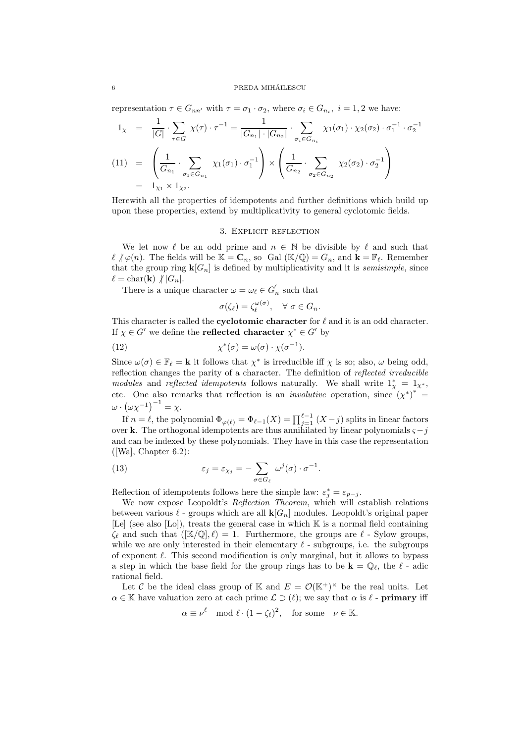representation  $\tau \in G_{nn'}$  with  $\tau = \sigma_1 \cdot \sigma_2$ , where  $\sigma_i \in G_{n_i}$ ,  $i = 1, 2$  we have:

$$
1_{\chi} = \frac{1}{|G|} \cdot \sum_{\tau \in G} \chi(\tau) \cdot \tau^{-1} = \frac{1}{|G_{n_1}| \cdot |G_{n_2}|} \cdot \sum_{\sigma_i \in G_{n_i}} \chi_1(\sigma_1) \cdot \chi_2(\sigma_2) \cdot \sigma_1^{-1} \cdot \sigma_2^{-1}
$$
  
(11) = 
$$
\left(\frac{1}{G_{n_1}} \cdot \sum_{\sigma_1 \in G_{n_1}} \chi_1(\sigma_1) \cdot \sigma_1^{-1}\right) \times \left(\frac{1}{G_{n_2}} \cdot \sum_{\sigma_2 \in G_{n_2}} \chi_2(\sigma_2) \cdot \sigma_2^{-1}\right)
$$

$$
= 1_{\chi_1} \times 1_{\chi_2}.
$$

Herewith all the properties of idempotents and further definitions which build up upon these properties, extend by multiplicativity to general cyclotomic fields.

#### 3. Explicit reflection

We let now  $\ell$  be an odd prime and  $n \in \mathbb{N}$  be divisible by  $\ell$  and such that  $\ell \nmid \varphi(n)$ . The fields will be  $\mathbb{K} = \mathbb{C}_n$ , so Gal  $(\mathbb{K}/\mathbb{Q}) = G_n$ , and  $\mathbf{k} = \mathbb{F}_{\ell}$ . Remember that the group ring  $\mathbf{k}[G_n]$  is defined by multiplicativity and it is *semisimple*, since  $\ell = \text{char}(\mathbf{k}) \; / |G_n|.$ 

There is a unique character  $\omega = \omega_{\ell} \in G_n'$  such that

$$
\sigma(\zeta_{\ell}) = \zeta_{\ell}^{\omega(\sigma)}, \quad \forall \sigma \in G_n.
$$

This character is called the **cyclotomic character** for  $\ell$  and it is an odd character. If  $\chi \in G'$  we define the **reflected character**  $\chi^* \in G'$  by

(12) 
$$
\chi^*(\sigma) = \omega(\sigma) \cdot \chi(\sigma^{-1}).
$$

Since  $\omega(\sigma) \in \mathbb{F}_\ell = \mathbf{k}$  it follows that  $\chi^*$  is irreducible iff  $\chi$  is so; also,  $\omega$  being odd, reflection changes the parity of a character. The definition of reflected irreducible modules and reflected idempotents follows naturally. We shall write  $1^*_{\chi} = 1_{\chi^*},$ etc. One also remarks that reflection is an *involutive* operation, since  $(\chi^*)^*$  =  $\omega \cdot (\omega \chi^{-1})^{-1} = \chi.$ 

If  $n = \ell$ , the polynomial  $\Phi_{\varphi(\ell)} = \Phi_{\ell-1}(X) = \prod_{j=1}^{\ell-1} (X - j)$  splits in linear factors over k. The orthogonal idempotents are thus annihilated by linear polynomials  $\varsigma - j$ and can be indexed by these polynomials. They have in this case the representation  $([Wa], Chapter 6.2):$ 

(13) 
$$
\varepsilon_j = \varepsilon_{\chi_j} = -\sum_{\sigma \in G_\ell} \omega^j(\sigma) \cdot \sigma^{-1}.
$$

Reflection of idempotents follows here the simple law:  $\varepsilon_j^* = \varepsilon_{p-j}$ .

We now expose Leopoldt's Reflection Theorem, which will establish relations between various  $\ell$  - groups which are all  $\mathbf{k}[G_n]$  modules. Leopoldt's original paper [Le] (see also [Lo]), treats the general case in which  $\mathbb K$  is a normal field containing  $\zeta_{\ell}$  and such that  $(|\mathbb{K}/\mathbb{Q}|, \ell) = 1$ . Furthermore, the groups are  $\ell$  - Sylow groups, while we are only interested in their elementary  $\ell$  - subgroups, i.e. the subgroups of exponent  $\ell$ . This second modification is only marginal, but it allows to bypass a step in which the base field for the group rings has to be  $\mathbf{k} = \mathbb{Q}_{\ell}$ , the  $\ell$ -adic rational field.

Let C be the ideal class group of K and  $E = \mathcal{O}(\mathbb{K}^+)^{\times}$  be the real units. Let  $\alpha \in \mathbb{K}$  have valuation zero at each prime  $\mathcal{L} \supset (\ell)$ ; we say that  $\alpha$  is  $\ell$  - **primary** iff

$$
\alpha \equiv \nu^{\ell} \mod \ell \cdot (1 - \zeta_{\ell})^2
$$
, for some  $\nu \in \mathbb{K}$ .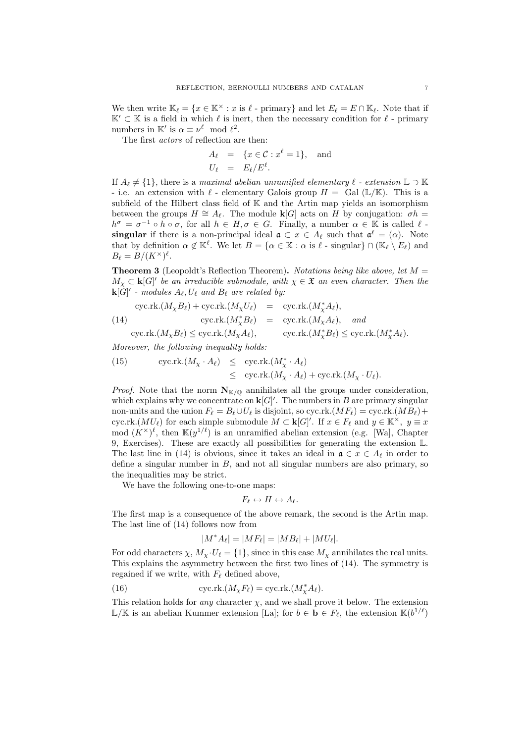We then write  $\mathbb{K}_{\ell} = \{x \in \mathbb{K}^{\times} : x \text{ is } \ell \text{ - primary}\}\$  and let  $E_{\ell} = E \cap \mathbb{K}_{\ell}$ . Note that if  $\mathbb{K}' \subset \mathbb{K}$  is a field in which  $\ell$  is inert, then the necessary condition for  $\ell$  - primary numbers in K' is  $\alpha \equiv \nu^{\ell} \mod \ell^2$ .

The first actors of reflection are then:

$$
A_{\ell} = \{x \in \mathcal{C} : x^{\ell} = 1\}, \text{ and}
$$
  

$$
U_{\ell} = E_{\ell}/E^{\ell}.
$$

If  $A_{\ell} \neq \{1\}$ , there is a maximal abelian unramified elementary  $\ell$  - extension  $\mathbb{L} \supset \mathbb{K}$ - i.e. an extension with  $\ell$  - elementary Galois group  $H = \text{Gal }(\mathbb{L}/\mathbb{K})$ . This is a subfield of the Hilbert class field of  $K$  and the Artin map yields an isomorphism between the groups  $H \cong A_{\ell}$ . The module  $\mathbf{k}[G]$  acts on H by conjugation:  $\sigma h =$  $h^{\sigma} = \sigma^{-1} \circ h \circ \sigma$ , for all  $h \in H, \sigma \in G$ . Finally, a number  $\alpha \in \mathbb{K}$  is called  $\ell$ . singular if there is a non-principal ideal  $\mathfrak{a} \subset x \in A_{\ell}$  such that  $\mathfrak{a}^{\ell} = (\alpha)$ . Note that by definition  $\alpha \notin \mathbb{K}^{\ell}$ . We let  $B = {\alpha \in \mathbb{K} : \alpha \text{ is } \ell \text{-singular}} \cap (\mathbb{K}_{\ell} \setminus E_{\ell})$  and  $B_{\ell} = B/(K^{\times})^{\ell}.$ 

**Theorem 3** (Leopoldt's Reflection Theorem). Notations being like above, let  $M =$  $M_{\chi} \subset \mathbf{k}[G]$ ' be an irreducible submodule, with  $\chi \in \mathfrak{X}$  an even character. Then the  $\mathbf{k}[G]'$  - modules  $A_{\ell}, U_{\ell}$  and  $B_{\ell}$  are related by:

$$
\begin{array}{rcl}\n\text{cyc.rk.}(M_{\chi}B_{\ell}) + \text{cyc.rk.}(M_{\chi}U_{\ell}) & = & \text{cyc.rk.}(M_{\chi}^{*}A_{\ell}), \\
\text{(14)} \qquad \qquad \text{cyc.rk.}(M_{\chi}^{*}B_{\ell}) & = & \text{cyc.rk.}(M_{\chi}A_{\ell}), \quad \text{and} \n\end{array}
$$

$$
\text{cyc.rk.}(M_{\chi}B_{\ell}) \leq \text{cyc.rk.}(M_{\chi}A_{\ell}), \qquad \text{cyc.rk.}(M_{\chi}^*B_{\ell}) \leq \text{cyc.rk.}(M_{\chi}^*A_{\ell}).
$$

Moreover, the following inequality holds:

(15) 
$$
\begin{array}{rcl}\n\text{cyc.rk.}(M_X \cdot A_\ell) & \leq & \text{cyc.rk.}(M_X^* \cdot A_\ell) \\
& \leq & \text{cyc.rk.}(M_X \cdot A_\ell) + \text{cyc.rk.}(M_X \cdot U_\ell).\n\end{array}
$$

*Proof.* Note that the norm  $N_{K/\mathbb{Q}}$  annihilates all the groups under consideration, which explains why we concentrate on  $\mathbf{k}[G]'$ . The numbers in B are primary singular non-units and the union  $F_{\ell} = B_{\ell} \cup U_{\ell}$  is disjoint, so cyc.rk. $(MF_{\ell}) = \text{cyc.rk}. (MB_{\ell}) +$ cyc.rk. $(MU_{\ell})$  for each simple submodule  $M \subset \mathbf{k}[G]'$ . If  $x \in F_{\ell}$  and  $y \in \mathbb{K}^{\times}$ ,  $y \equiv x$ mod  $(K^{\times})^{\ell}$ , then  $\mathbb{K}(y^{1/\ell})$  is an unramified abelian extension (e.g. [Wa], Chapter 9, Exercises). These are exactly all possibilities for generating the extension L. The last line in (14) is obvious, since it takes an ideal in  $\mathfrak{a} \in x \in A_{\ell}$  in order to define a singular number in  $B$ , and not all singular numbers are also primary, so the inequalities may be strict.

We have the following one-to-one maps:

$$
F_\ell \leftrightarrow H \leftrightarrow A_\ell.
$$

The first map is a consequence of the above remark, the second is the Artin map. The last line of (14) follows now from

$$
M^*A_{\ell}|=|MF_{\ell}|=|MB_{\ell}|+|MU_{\ell}|.
$$

For odd characters  $\chi$ ,  $M_{\chi} \cdot U_{\ell} = \{1\}$ , since in this case  $M_{\chi}$  annihilates the real units. This explains the asymmetry between the first two lines of (14). The symmetry is regained if we write, with  $F_{\ell}$  defined above,

(16) 
$$
cyc.rk.(M_{\chi}F_{\ell}) = cyc.rk.(M_{\chi}^*A_{\ell}).
$$

This relation holds for *any* character  $\chi$ , and we shall prove it below. The extension  $\mathbb{L}/\mathbb{K}$  is an abelian Kummer extension [La]; for  $b \in \mathbf{b} \in F_{\ell}$ , the extension  $\mathbb{K}(b^{1/\ell})$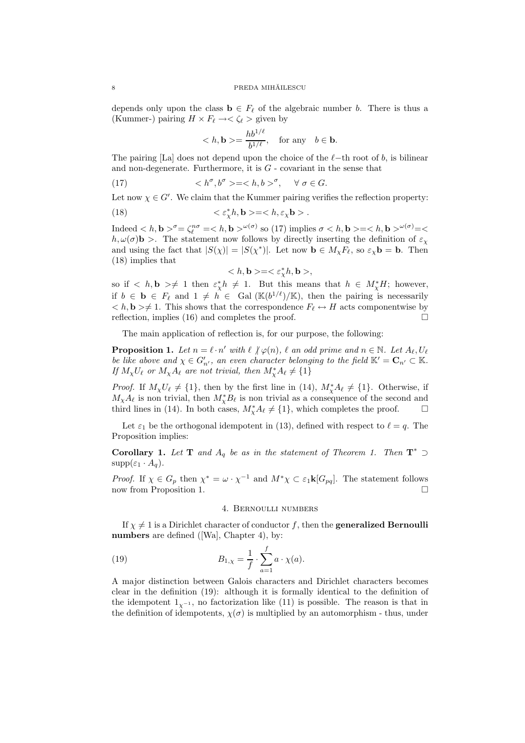depends only upon the class  $\mathbf{b} \in F_{\ell}$  of the algebraic number b. There is thus a (Kummer-) pairing  $H \times F_{\ell} \rightarrow \langle \zeta_{\ell} \rangle$  given by

$$
\langle h, \mathbf{b} \rangle = \frac{h b^{1/\ell}}{b^{1/\ell}}, \quad \text{for any} \quad b \in \mathbf{b}.
$$

The pairing [La] does not depend upon the choice of the  $\ell$ -th root of b, is bilinear and non-degenerate. Furthermore, it is  $G$  - covariant in the sense that

(17) 
$$
\langle h^{\sigma}, b^{\sigma} \rangle = \langle h, b \rangle^{\sigma}, \quad \forall \sigma \in G.
$$

Let now  $\chi \in G'$ . We claim that the Kummer pairing verifies the reflection property:

(18) 
$$
\langle \varepsilon^*_{\chi} h, \mathbf{b} \rangle = \langle h, \varepsilon_{\chi} \mathbf{b} \rangle.
$$

Indeed  $\langle h, \mathbf{b} \rangle^{\sigma} = \zeta_{\ell}^{n\sigma} = \langle h, \mathbf{b} \rangle^{\omega(\sigma)}$  so (17) implies  $\sigma \langle h, \mathbf{b} \rangle = \langle h, \mathbf{b} \rangle^{\omega(\sigma)} = \langle h, \mathbf{b} \rangle$  $h, \omega(\sigma)$ **b** >. The statement now follows by directly inserting the definition of  $\varepsilon_{\chi}$ and using the fact that  $|S(\chi)| = |S(\chi^*)|$ . Let now  $\mathbf{b} \in M_{\chi}F_{\ell}$ , so  $\varepsilon_{\chi}\mathbf{b} = \mathbf{b}$ . Then (18) implies that

$$
\langle h, \mathbf{b} \rangle = \langle \varepsilon^*_{\chi} h, \mathbf{b} \rangle,
$$

so if  $\langle h, \mathbf{b} \rangle \neq 1$  then  $\varepsilon^*_{\chi} h \neq 1$ . But this means that  $h \in M^*_{\chi}H$ ; however, if  $b \in \mathbf{b} \in F_{\ell}$  and  $1 \neq h \in \text{Gal }(\mathbb{K}(b^{1/\ell})/\mathbb{K})$ , then the pairing is necessarily  $\langle h, \mathbf{b} \rangle \neq 1$ . This shows that the correspondence  $F_\ell \leftrightarrow H$  acts componentwise by reflection, implies (16) and completes the proof.  $\Box$ 

The main application of reflection is, for our purpose, the following:

**Proposition 1.** Let  $n = \ell \cdot n'$  with  $\ell \nmid \varphi(n)$ ,  $\ell$  an odd prime and  $n \in \mathbb{N}$ . Let  $A_{\ell}, U_{\ell}$ be like above and  $\chi \in G'_{n'}$ , an even character belonging to the field  $\mathbb{K}' = \mathbf{C}_{n'} \subset \mathbb{K}$ . If  $M_{\chi}U_{\ell}$  or  $M_{\chi}A_{\ell}$  are not trivial, then  $M_{\chi}^{*}A_{\ell} \neq \{1\}$ 

*Proof.* If  $M_\chi U_\ell \neq \{1\}$ , then by the first line in (14),  $M_\chi^* A_\ell \neq \{1\}$ . Otherwise, if  $M_{\chi}A_{\ell}$  is non trivial, then  $M_{\chi}^{*}B_{\ell}$  is non trivial as a consequence of the second and third lines in (14). In both cases,  $M^*_{\chi}A_{\ell} \neq \{1\}$ , which completes the proof.  $\square$ 

Let  $\varepsilon_1$  be the orthogonal idempotent in (13), defined with respect to  $\ell = q$ . The Proposition implies:

**Corollary 1.** Let **T** and  $A_q$  be as in the statement of Theorem 1. Then  $T^*$  $supp(\varepsilon_1 \cdot A_q)$ .

*Proof.* If  $\chi \in G_p$  then  $\chi^* = \omega \cdot \chi^{-1}$  and  $M^* \chi \subset \varepsilon_1 \mathbf{k}[G_{pq}]$ . The statement follows now from Proposition 1. □

### 4. Bernoulli numbers

If  $\chi \neq 1$  is a Dirichlet character of conductor f, then the **generalized Bernoulli** numbers are defined ([Wa], Chapter 4), by:

(19) 
$$
B_{1,\chi} = \frac{1}{f} \cdot \sum_{a=1}^{f} a \cdot \chi(a).
$$

A major distinction between Galois characters and Dirichlet characters becomes clear in the definition (19): although it is formally identical to the definition of the idempotent  $1_{\chi^{-1}}$ , no factorization like (11) is possible. The reason is that in the definition of idempotents,  $\chi(\sigma)$  is multiplied by an automorphism - thus, under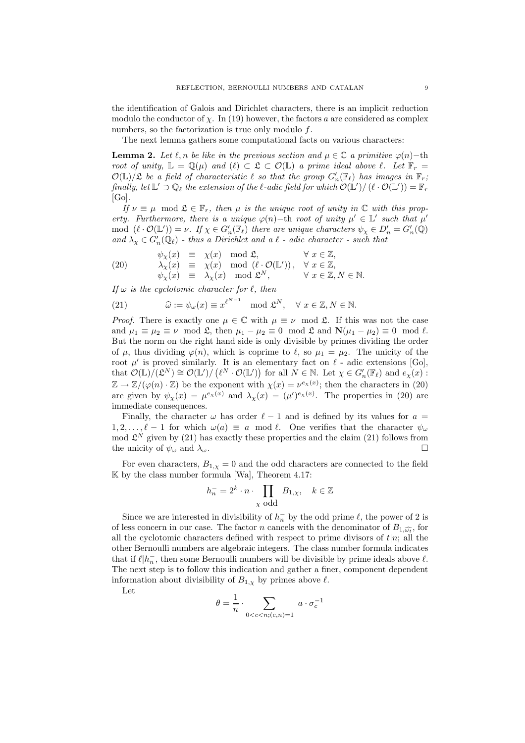the identification of Galois and Dirichlet characters, there is an implicit reduction modulo the conductor of  $\chi$ . In (19) however, the factors a are considered as complex numbers, so the factorization is true only modulo  $f$ .

The next lemma gathers some computational facts on various characters:

**Lemma 2.** Let  $\ell, n$  be like in the previous section and  $\mu \in \mathbb{C}$  a primitive  $\varphi(n)$ –th root of unity,  $\mathbb{L} = \mathbb{Q}(\mu)$  and  $(\ell) \subset \mathfrak{L} \subset \mathcal{O}(\mathbb{L})$  a prime ideal above  $\ell$ . Let  $\mathbb{F}_r =$  $\mathcal{O}(\mathbb{L})/\mathfrak{L}$  be a field of characteristic  $\ell$  so that the group  $G'_n(\mathbb{F}_\ell)$  has images in  $\mathbb{F}_r$ ; finally, let  $\mathbb{L}'\supset\mathbb{Q}_\ell$  the extension of the  $\ell$ -adic field for which  $\mathcal{O}(\mathbb{L}')/\left(\ell\cdot\mathcal{O}(\mathbb{L}')\right)=\mathbb{F}_r$  $[Go]$ .

If  $\nu \equiv \mu \mod \mathfrak{L} \in \mathbb{F}_r$ , then  $\mu$  is the unique root of unity in  $\mathbb C$  with this property. Furthermore, there is a unique  $\varphi(n)$  – th root of unity  $\mu' \in \mathbb{L}'$  such that  $\mu'$ mod  $(\ell \cdot \mathcal{O}(\mathbb{L}')) = \nu$ . If  $\chi \in G'_n(\mathbb{F}_{\ell})$  there are unique characters  $\psi_{\chi} \in D'_n = G'_n(\mathbb{Q})$ and  $\lambda_{\chi} \in G'_{n}(\mathbb{Q}_{\ell})$  - thus a Dirichlet and a  $\ell$  - adic character - such that

(20) 
$$
\psi_{\chi}(x) \equiv \chi(x) \mod \mathfrak{L}, \qquad \forall x \in \mathbb{Z},
$$

$$
\lambda_{\chi}(x) \equiv \chi(x) \mod (\ell \cdot \mathcal{O}(\mathbb{L}')), \quad \forall x \in \mathbb{Z},
$$

$$
\psi_{\chi}(x) \equiv \lambda_{\chi}(x) \mod \mathfrak{L}^{N}, \qquad \forall x \in \mathbb{Z}, N \in \mathbb{N}.
$$

If  $\omega$  is the cyclotomic character for  $\ell$ , then

(21) 
$$
\widehat{\omega} := \psi_{\omega}(x) \equiv x^{\ell^{N-1}} \mod \mathfrak{L}^N, \quad \forall \ x \in \mathbb{Z}, N \in \mathbb{N}.
$$

*Proof.* There is exactly one  $\mu \in \mathbb{C}$  with  $\mu \equiv \nu \mod 2$ . If this was not the case and  $\mu_1 \equiv \mu_2 \equiv \nu \mod 2$ , then  $\mu_1 - \mu_2 \equiv 0 \mod 2$  and  $\mathbb{N}(\mu_1 - \mu_2) \equiv 0 \mod l$ . But the norm on the right hand side is only divisible by primes dividing the order of  $\mu$ , thus dividing  $\varphi(n)$ , which is coprime to  $\ell$ , so  $\mu_1 = \mu_2$ . The unicity of the root  $\mu'$  is proved similarly. It is an elementary fact on  $\ell$  - adic extensions [Go], that  $\mathcal{O}(\mathbb{L})/(\mathcal{L}^N) \cong \mathcal{O}(\mathbb{L}^{\prime})/(\ell^N \cdot \mathcal{O}(\mathbb{L}^{\prime}))$  for all  $N \in \mathbb{N}$ . Let  $\chi \in G'_n(\mathbb{F}_{\ell})$  and  $e_{\chi}(x)$ :  $\mathbb{Z} \to \mathbb{Z}/(\varphi(n) \cdot \mathbb{Z})$  be the exponent with  $\chi(x) = \nu^{e_{\chi}(x)}$ ; then the characters in (20) are given by  $\psi_{\chi}(x) = \mu^{e_{\chi}(x)}$  and  $\lambda_{\chi}(x) = (\mu')^{e_{\chi}(x)}$ . The properties in (20) are immediate consequences.

Finally, the character  $\omega$  has order  $\ell - 1$  and is defined by its values for  $\alpha =$  $1, 2, \ldots, \ell - 1$  for which  $\omega(a) \equiv a \mod \ell$ . One verifies that the character  $\psi_{\omega}$ mod  $\mathfrak{L}^N$  given by (21) has exactly these properties and the claim (21) follows from the unicity of  $\psi_{\omega}$  and  $\lambda_{\omega}$ .

For even characters,  $B_{1,x} = 0$  and the odd characters are connected to the field  $\mathbb K$  by the class number formula [Wa], Theorem 4.17:

$$
h_n^- = 2^k \cdot n \cdot \prod_{\chi \text{ odd}} B_{1,\chi}, \quad k \in \mathbb{Z}
$$

Since we are interested in divisibility of  $h_n^-$  by the odd prime  $\ell$ , the power of 2 is of less concern in our case. The factor n cancels with the denominator of  $B_{1,\widehat{\omega_t}}$ , for all the cyclotomic characters defined with respect to prime divisors of  $t|n$ ; all the other Bernoulli numbers are algebraic integers. The class number formula indicates that if  $\ell|h_n^-$ , then some Bernoulli numbers will be divisible by prime ideals above  $\ell$ . The next step is to follow this indication and gather a finer, component dependent information about divisibility of  $B_{1,\chi}$  by primes above  $\ell$ .

Let

$$
\theta = \frac{1}{n} \cdot \sum_{0 < c < n; (c, n) = 1} a \cdot \sigma_c^{-1}
$$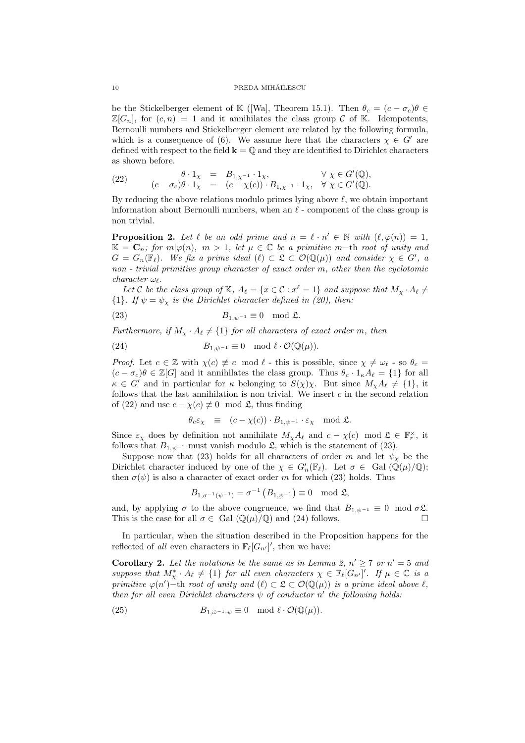#### 10 PREDA MIHĂILESCU

be the Stickelberger element of K ([Wa], Theorem 15.1). Then  $\theta_c = (c - \sigma_c)\theta \in$  $\mathbb{Z}[G_n]$ , for  $(c, n) = 1$  and it annihilates the class group C of K. Idempotents, Bernoulli numbers and Stickelberger element are related by the following formula, which is a consequence of (6). We assume here that the characters  $\chi \in G'$  are defined with respect to the field  $\mathbf{k} = \mathbf{0}$  and they are identified to Dirichlet characters as shown before.

(22) 
$$
\begin{array}{rcl}\n\theta \cdot 1_{\chi} & = & B_{1,\chi^{-1}} \cdot 1_{\chi}, & \forall \ \chi \in G'(\mathbb{Q}), \\
(c - \sigma_c)\theta \cdot 1_{\chi} & = & (c - \chi(c)) \cdot B_{1,\chi^{-1}} \cdot 1_{\chi}, & \forall \ \chi \in G'(\mathbb{Q}).\n\end{array}
$$

By reducing the above relations modulo primes lying above  $\ell$ , we obtain important information about Bernoulli numbers, when an  $\ell$  - component of the class group is non trivial.

**Proposition 2.** Let  $\ell$  be an odd prime and  $n = \ell \cdot n' \in \mathbb{N}$  with  $(\ell, \varphi(n)) = 1$ ,  $\mathbb{K} = \mathbf{C}_n$ ; for  $m | \varphi(n)$ ,  $m > 1$ , let  $\mu \in \mathbb{C}$  be a primitive m-th root of unity and  $G = G_n(\mathbb{F}_\ell)$ . We fix a prime ideal  $(\ell) \subset \mathfrak{L} \subset \mathcal{O}(\mathbb{Q}(\mu))$  and consider  $\chi \in G'$ , a non - trivial primitive group character of exact order m, other then the cyclotomic  $character \ \omega_{\ell}$ .

Let C be the class group of K,  $A_\ell = \{x \in \mathcal{C} : x^\ell = 1\}$  and suppose that  $M_\chi \cdot A_\ell \neq$  ${1}.$  If  $\psi = \psi_{\chi}$  is the Dirichlet character defined in (20), then:

(23) 
$$
B_{1,\psi^{-1}} \equiv 0 \mod \mathfrak{L}.
$$

Furthermore, if  $M_{\chi} \cdot A_{\ell} \neq \{1\}$  for all characters of exact order m, then

(24) 
$$
B_{1,\psi^{-1}} \equiv 0 \mod \ell \cdot \mathcal{O}(\mathbb{Q}(\mu)).
$$

*Proof.* Let  $c \in \mathbb{Z}$  with  $\chi(c) \neq c \mod l$  - this is possible, since  $\chi \neq \omega_l$  - so  $\theta_c =$  $(c - \sigma_c)\theta \in \mathbb{Z}[G]$  and it annihilates the class group. Thus  $\theta_c \cdot 1_{\kappa}A_{\ell} = \{1\}$  for all  $\kappa \in G'$  and in particular for  $\kappa$  belonging to  $S(\chi)\chi$ . But since  $M_{\chi}A_{\ell} \neq \{1\}$ , it follows that the last annihilation is non trivial. We insert  $c$  in the second relation of (22) and use  $c - \chi(c) \neq 0 \mod 2$ , thus finding

$$
\theta_c \varepsilon_\chi \equiv (c - \chi(c)) \cdot B_{1, \psi^{-1}} \cdot \varepsilon_\chi \mod \mathfrak{L}.
$$

Since  $\varepsilon_{\chi}$  does by definition not annihilate  $M_{\chi}A_{\ell}$  and  $c - \chi(c) \mod \mathfrak{L} \in \mathbb{F}_r^{\times}$ , it follows that  $B_{1,\psi^{-1}}$  must vanish modulo  $\mathfrak{L}$ , which is the statement of (23).

Suppose now that (23) holds for all characters of order m and let  $\psi_{\chi}$  be the Dirichlet character induced by one of the  $\chi \in G'_{n}(\mathbb{F}_{\ell})$ . Let  $\sigma \in \text{ Gal }(\mathbb{Q}(\mu)/\mathbb{Q})$ ; then  $\sigma(\psi)$  is also a character of exact order m for which (23) holds. Thus

$$
B_{1,\sigma^{-1}(\psi^{-1})}=\sigma^{-1}\left(B_{1,\psi^{-1}}\right)\equiv 0\mod 2,
$$

and, by applying  $\sigma$  to the above congruence, we find that  $B_{1,\psi^{-1}} \equiv 0 \mod \sigma \mathcal{L}$ .<br>This is the case for all  $\sigma \in \text{Gal}(\mathbb{O}(\mu)/\mathbb{O})$  and (24) follows This is the case for all  $\sigma \in$  Gal  $(\mathbb{Q}(\mu)/\mathbb{Q})$  and (24) follows.

In particular, when the situation described in the Proposition happens for the reflected of all even characters in  $\mathbb{F}_{\ell}[G_{n'}]'$ , then we have:

**Corollary 2.** Let the notations be the same as in Lemma 2,  $n' \ge 7$  or  $n' = 5$  and suppose that  $M^*_\chi \cdot A_\ell \neq \{1\}$  for all even characters  $\chi \in \mathbb{F}_\ell[G_{n'}]'$ . If  $\mu \in \mathbb{C}$  is a primitive  $\varphi(n')$  - th root of unity and  $(\ell) \subset \mathfrak{L} \subset \mathcal{O}(\mathbb{Q}(\mu))$  is a prime ideal above  $\ell$ , then for all even Dirichlet characters  $\psi$  of conductor n' the following holds:

(25) 
$$
B_{1,\widetilde{\omega}^{-1}\cdot\psi}\equiv 0 \mod \ell \cdot \mathcal{O}(\mathbb{Q}(\mu)).
$$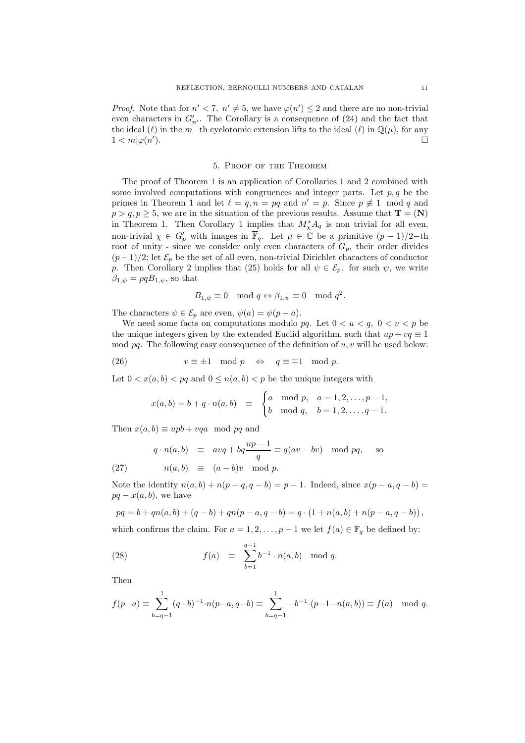*Proof.* Note that for  $n' < 7$ ,  $n' \neq 5$ , we have  $\varphi(n') \leq 2$  and there are no non-trivial even characters in  $G'_{n'}$ . The Corollary is a consequence of (24) and the fact that the ideal ( $\ell$ ) in the m−th cyclotomic extension lifts to the ideal ( $\ell$ ) in  $\mathbb{Q}(\mu)$ , for any  $1 < m | \varphi(n'$ ).

#### 5. Proof of the Theorem

The proof of Theorem 1 is an application of Corollaries 1 and 2 combined with some involved computations with congruences and integer parts. Let  $p, q$  be the primes in Theorem 1 and let  $\ell = q, n = pq$  and  $n' = p$ . Since  $p \neq 1 \mod q$  and  $p > q, p \ge 5$ , we are in the situation of the previous results. Assume that  $\mathbf{T} = (\mathbf{N})$ in Theorem 1. Then Corollary 1 implies that  $M^*_{\chi}A_q$  is non trivial for all even, non-trivial  $\chi \in G_p'$  with images in  $\overline{\mathbb{F}}_q$ . Let  $\mu \in \mathbb{C}$  be a primitive  $(p-1)/2$ -th root of unity - since we consider only even characters of  $G_p$ , their order divides  $(p-1)/2$ ; let  $\mathcal{E}_p$  be the set of all even, non-trivial Dirichlet characters of conductor p. Then Corollary 2 implies that (25) holds for all  $\psi \in \mathcal{E}_p$ . for such  $\psi$ , we write  $\beta_{1,\psi} = pqB_{1,\psi}$ , so that

$$
B_{1,\psi} \equiv 0 \mod q \Leftrightarrow \beta_{1,\psi} \equiv 0 \mod q^2.
$$

The characters  $\psi \in \mathcal{E}_p$  are even,  $\psi(a) = \psi(p-a)$ .

We need some facts on computations modulo pq. Let  $0 < u < q$ ,  $0 < v < p$  be the unique integers given by the extended Euclid algorithm, such that  $up + va \equiv 1$ mod pq. The following easy consequence of the definition of  $u, v$  will be used below:

(26) 
$$
v \equiv \pm 1 \mod p \iff q \equiv \mp 1 \mod p.
$$

Let  $0 < x(a, b) < pq$  and  $0 \le n(a, b) < p$  be the unique integers with

$$
x(a,b) = b + q \cdot n(a,b) \equiv \begin{cases} a \mod p, & a = 1, 2, \dots, p-1, \\ b \mod q, & b = 1, 2, \dots, q-1. \end{cases}
$$

Then  $x(a, b) \equiv upb + vqa \mod pq$  and

$$
q \cdot n(a, b) \equiv avq + bq \frac{up - 1}{q} \equiv q(av - bv) \mod pq, \text{ so}
$$
  
(27) 
$$
n(a, b) \equiv (a - b)v \mod p.
$$

Note the identity  $n(a, b) + n(p - q, q - b) = p - 1$ . Indeed, since  $x(p - a, q - b) =$  $pq - x(a, b)$ , we have

$$
pq = b + qn(a, b) + (q - b) + qn(p - a, q - b) = q \cdot (1 + n(a, b) + n(p - a, q - b)),
$$

which confirms the claim. For  $a = 1, 2, \ldots, p - 1$  we let  $f(a) \in \mathbb{F}_q$  be defined by:

(28) 
$$
f(a) \equiv \sum_{b=1}^{q-1} b^{-1} \cdot n(a, b) \mod q.
$$

Then

$$
f(p-a) \equiv \sum_{b=q-1}^{1} (q-b)^{-1} \cdot n(p-a, q-b) \equiv \sum_{b=q-1}^{1} -b^{-1} \cdot (p-1-n(a, b)) \equiv f(a) \mod q.
$$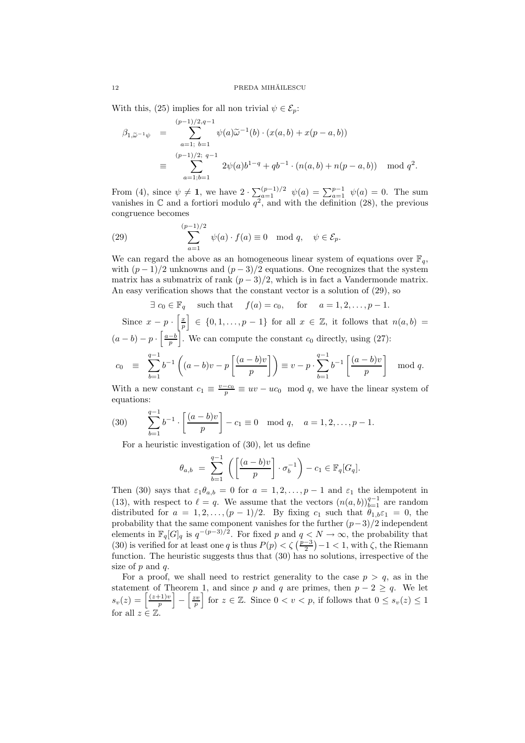With this, (25) implies for all non trivial  $\psi \in \mathcal{E}_n$ :

$$
\beta_{1,\widetilde{\omega}^{-1}\psi} = \sum_{a=1; b=1}^{(p-1)/2, q-1} \psi(a)\widetilde{\omega}^{-1}(b) \cdot (x(a, b) + x(p-a, b))
$$
  

$$
\equiv \sum_{a=1; b=1}^{(p-1)/2; q-1} 2\psi(a)b^{1-q} + qb^{-1} \cdot (n(a, b) + n(p-a, b)) \mod q^2.
$$

From (4), since  $\psi \neq 1$ , we have  $2 \cdot \sum_{a=1}^{(p-1)/2} \psi(a) = \sum_{a=1}^{p-1} \psi(a) = 0$ . The sum vanishes in  $\mathbb C$  and a fortiori modulo  $q^2$ , and with the definition (28), the previous congruence becomes

(29) 
$$
\sum_{a=1}^{(p-1)/2} \psi(a) \cdot f(a) \equiv 0 \mod q, \quad \psi \in \mathcal{E}_p.
$$

We can regard the above as an homogeneous linear system of equations over  $\mathbb{F}_q$ , with  $(p-1)/2$  unknowns and  $(p-3)/2$  equations. One recognizes that the system matrix has a submatrix of rank  $(p-3)/2$ , which is in fact a Vandermonde matrix. An easy verification shows that the constant vector is a solution of (29), so

$$
\exists c_0 \in \mathbb{F}_q
$$
 such that  $f(a) = c_0$ , for  $a = 1, 2, ..., p - 1$ .

Since  $x - p \cdot \left[\frac{x}{p}\right]$  $\Big] \in \{0, 1, \ldots, p-1\}$  for all  $x \in \mathbb{Z}$ , it follows that  $n(a, b) =$  $(a - b) - p \cdot \left\lceil \frac{a - b}{p} \right\rceil$ We can compute the constant  $c_0$  directly, using (27):  $c_0$   $\equiv$   $\sum^{q-1}$  $_{b=1}$  $b^{-1}$  $(a - b)v - p$  $\int (a - b)v$  $\left\{\frac{-b}{p}\right\}$  $\left\{\right\}$  $\equiv v - p \cdot \sum_{i=1}^{q-1}$  $_{b=1}$  $b^{-1}\left[\frac{(a-b)v}{\cdots}\right]$ p 1 mod q.

With a new constant  $c_1 \equiv \frac{v-c_0}{p} \equiv uv - uc_0 \mod q$ , we have the linear system of equations:

(30) 
$$
\sum_{b=1}^{q-1} b^{-1} \cdot \left[ \frac{(a-b)v}{p} \right] - c_1 \equiv 0 \mod q, \quad a = 1, 2, \dots, p-1.
$$

For a heuristic investigation of (30), let us define

$$
\theta_{a,b} = \sum_{b=1}^{q-1} \left( \left[ \frac{(a-b)v}{p} \right] \cdot \sigma_b^{-1} \right) - c_1 \in \mathbb{F}_q[G_q].
$$

Then (30) says that  $\varepsilon_1 \theta_{a,b} = 0$  for  $a = 1, 2, ..., p-1$  and  $\varepsilon_1$  the idempotent in (13), with respect to  $\ell = q$ . We assume that the vectors  $(n(a, b))_{b=1}^{q-1}$  are random distributed for  $a = 1, 2, \ldots, (p-1)/2$ . By fixing  $c_1$  such that  $\theta_{1,b} \varepsilon_1 = 0$ , the probability that the same component vanishes for the further  $(p-3)/2$  independent elements in  $\mathbb{F}_q[G]_q$  is  $q^{-(p-3)/2}$ . For fixed p and  $q < N \to \infty$ , the probability that (30) is verified for at least one q is thus  $P(p) < \zeta\left(\frac{p-3}{2}\right) - 1 < 1$ , with  $\zeta$ , the Riemann function. The heuristic suggests thus that (30) has no solutions, irrespective of the size of  $p$  and  $q$ .

For a proof, we shall need to restrict generality to the case  $p > q$ , as in the statement of Theorem 1, and since p and q are primes, then  $p - 2 \geq q$ . We let  $s_v(z) = \left\lceil \frac{(z+1)v}{n} \right\rceil$ p  $\Big] - \Big[\frac{zv}{p}\Big]$ for  $z \in \mathbb{Z}$ . Since  $0 < v < p$ , if follows that  $0 \leq s_v(z) \leq 1$ for all  $z \in \mathbb{Z}$ .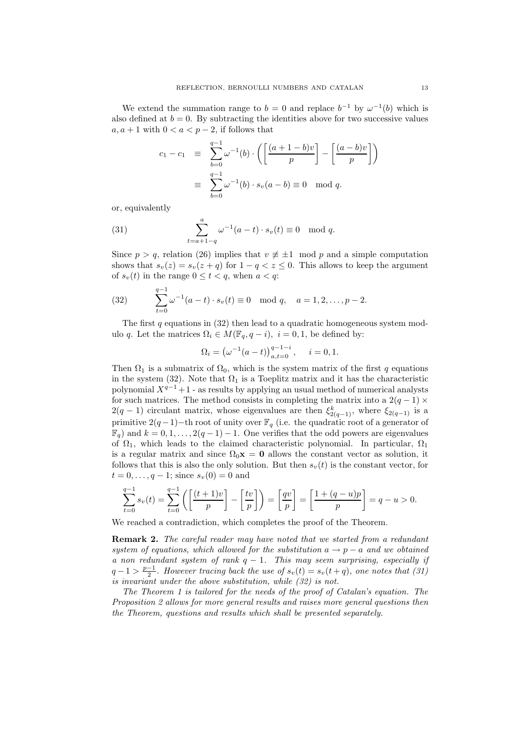We extend the summation range to  $b = 0$  and replace  $b^{-1}$  by  $\omega^{-1}(b)$  which is also defined at  $b = 0$ . By subtracting the identities above for two successive values  $a, a + 1$  with  $0 < a < p - 2$ , if follows that

$$
c_1 - c_1 \equiv \sum_{b=0}^{q-1} \omega^{-1}(b) \cdot \left( \left[ \frac{(a+1-b)v}{p} \right] - \left[ \frac{(a-b)v}{p} \right] \right)
$$

$$
\equiv \sum_{b=0}^{q-1} \omega^{-1}(b) \cdot s_v(a-b) \equiv 0 \mod q.
$$

or, equivalently

(31) 
$$
\sum_{t=a+1-q}^{a} \omega^{-1}(a-t) \cdot s_v(t) \equiv 0 \mod q.
$$

Since  $p > q$ , relation (26) implies that  $v \neq \pm 1 \mod p$  and a simple computation shows that  $s_v(z) = s_v(z + q)$  for  $1 - q < z \leq 0$ . This allows to keep the argument of  $s_v(t)$  in the range  $0 \le t < q$ , when  $a < q$ :

(32) 
$$
\sum_{t=0}^{q-1} \omega^{-1}(a-t) \cdot s_v(t) \equiv 0 \mod q, \quad a = 1, 2, \dots, p-2.
$$

The first q equations in  $(32)$  then lead to a quadratic homogeneous system modulo q. Let the matrices  $\Omega_i \in M(\mathbb{F}_q, q - i)$ ,  $i = 0, 1$ , be defined by:

$$
\Omega_i = \left(\omega^{-1}(a - t)\right)_{a, t=0}^{q-1-i}, \quad i = 0, 1.
$$

Then  $\Omega_1$  is a submatrix of  $\Omega_0$ , which is the system matrix of the first q equations in the system (32). Note that  $\Omega_1$  is a Toeplitz matrix and it has the characteristic polynomial  $X^{q-1}+1$  - as results by applying an usual method of numerical analysts for such matrices. The method consists in completing the matrix into a  $2(q-1) \times$  $2(q-1)$  circulant matrix, whose eigenvalues are then  $\xi_{2(q-1)}^k$ , where  $\xi_{2(q-1)}$  is a primitive  $2(q-1)$ −th root of unity over  $\mathbb{F}_q$  (i.e. the quadratic root of a generator of  $\mathbb{F}_q$ ) and  $k = 0, 1, \ldots, 2(q - 1) - 1$ . One verifies that the odd powers are eigenvalues of  $\Omega_1$ , which leads to the claimed characteristic polynomial. In particular,  $\Omega_1$ is a regular matrix and since  $\Omega_0$ **x** = 0 allows the constant vector as solution, it follows that this is also the only solution. But then  $s_v(t)$  is the constant vector, for  $t = 0, \ldots, q - 1$ ; since  $s_v(0) = 0$  and

$$
\sum_{t=0}^{q-1} s_v(t) = \sum_{t=0}^{q-1} \left( \left[ \frac{(t+1)v}{p} \right] - \left[ \frac{tv}{p} \right] \right) = \left[ \frac{qv}{p} \right] = \left[ \frac{1 + (q-u)p}{p} \right] = q-u > 0.
$$

We reached a contradiction, which completes the proof of the Theorem.

**Remark 2.** The careful reader may have noted that we started from a redundant system of equations, which allowed for the substitution  $a \rightarrow p - a$  and we obtained a non redundant system of rank  $q - 1$ . This may seem surprising, especially if  $q-1 > \frac{p-1}{2}$ . However tracing back the use of  $s_v(t) = s_v(t+q)$ , one notes that (31) is invariant under the above substitution, while (32) is not.

The Theorem 1 is tailored for the needs of the proof of Catalan's equation. The Proposition 2 allows for more general results and raises more general questions then the Theorem, questions and results which shall be presented separately.